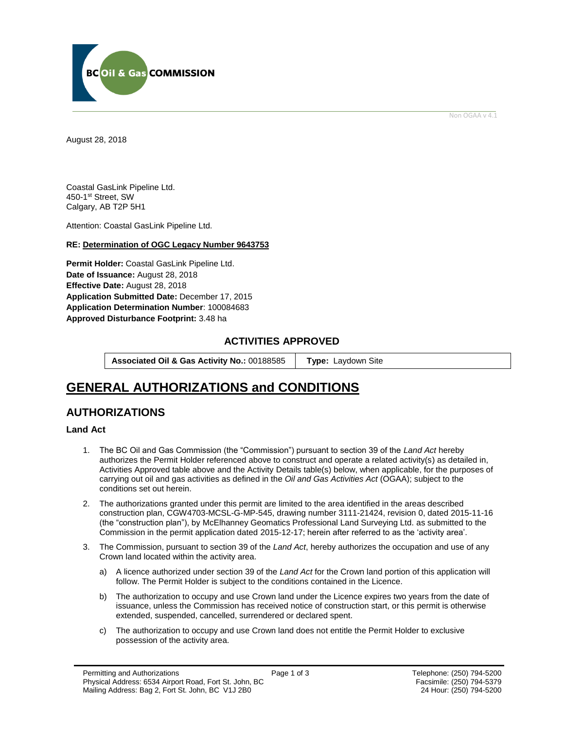

Non OGAA v 4.1

<span id="page-0-0"></span>August 28, 2018

Coastal GasLink Pipeline Ltd. 450-1st Street, SW Calgary, AB T2P 5H1

Attention: Coastal GasLink Pipeline Ltd.

#### **RE: Determination of OGC Legacy Number 9643753**

**Permit Holder:** Coastal GasLink Pipeline Ltd. Date of Issuance: August 28, 2018 **Effective Date:** August 28, 2018 **Application Submitted Date:** December 17, 2015 **Application Determination Number**: 100084683 **[Approved Disturbance Footprint:](#page-0-0)** 3.48 ha

#### **ACTIVITIES APPROVED**

**Associated Oil & Gas Activity No.:** 00188585 **[Type:](https://bi.bcogc.ca/Application%20Processing/Interactive%20Reports/(BIL-041)%20AMS%20Decision%20Summary.aspx)** Laydown Site

# **GENERAL AUTHORIZATIONS and CONDITIONS**

## **AUTHORIZATIONS**

#### **Land Act**

- 1. The BC Oil and Gas Commission (the "Commission") pursuant to section 39 of the *Land Act* hereby authorizes the Permit Holder referenced above to construct and operate a related activity(s) as detailed in, Activities Approved table above and the Activity Details table(s) below, when applicable, for the purposes of carrying out oil and gas activities as defined in the *Oil and Gas Activities Act* (OGAA); subject to the conditions set out herein.
- 2. The authorizations granted under this permit are limited to the area identified in the areas described construction plan, CGW4703-MCSL-G-MP-545, drawing number 3111-21424, revision 0, dated 2015-11-16 (the "construction plan"), by McElhanney Geomatics Professional Land Surveying Ltd. as submitted to the Commission in the permit application dated 2015-12-17; herein after referred to as the 'activity area'.
- 3. The Commission, pursuant to section 39 of the *Land Act*, hereby authorizes the occupation and use of any Crown land located within the activity area.
	- a) A licence authorized under section 39 of the *Land Act* for the Crown land portion of this application will follow. The Permit Holder is subject to the conditions contained in the Licence.
	- b) The authorization to occupy and use Crown land under the Licence expires two years from the date of issuance, unless the Commission has received notice of construction start, or this permit is otherwise extended, suspended, cancelled, surrendered or declared spent.
	- c) The authorization to occupy and use Crown land does not entitle the Permit Holder to exclusive possession of the activity area.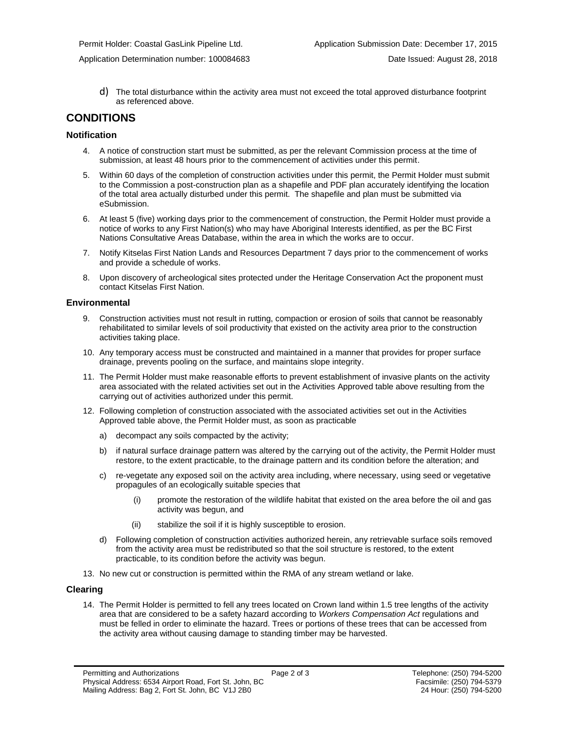- - d) The total disturbance within the activity area must not exceed the total approved disturbance footprint as referenced above.

### **CONDITIONS**

#### **Notification**

- 4. A notice of construction start must be submitted, as per the relevant Commission process at the time of submission, at least 48 hours prior to the commencement of activities under this permit.
- 5. Within 60 days of the completion of construction activities under this permit, the Permit Holder must submit to the Commission a post-construction plan as a shapefile and PDF plan accurately identifying the location of the total area actually disturbed under this permit. The shapefile and plan must be submitted via eSubmission.
- 6. At least 5 (five) working days prior to the commencement of construction, the Permit Holder must provide a notice of works to any First Nation(s) who may have Aboriginal Interests identified, as per the BC First Nations Consultative Areas Database, within the area in which the works are to occur.
- 7. Notify Kitselas First Nation Lands and Resources Department 7 days prior to the commencement of works and provide a schedule of works.
- 8. Upon discovery of archeological sites protected under the Heritage Conservation Act the proponent must contact Kitselas First Nation.

#### **Environmental**

- 9. Construction activities must not result in rutting, compaction or erosion of soils that cannot be reasonably rehabilitated to similar levels of soil productivity that existed on the activity area prior to the construction activities taking place.
- 10. Any temporary access must be constructed and maintained in a manner that provides for proper surface drainage, prevents pooling on the surface, and maintains slope integrity.
- 11. The Permit Holder must make reasonable efforts to prevent establishment of invasive plants on the activity area associated with the related activities set out in the Activities Approved table above resulting from the carrying out of activities authorized under this permit.
- 12. Following completion of construction associated with the associated activities set out in the Activities Approved table above, the Permit Holder must, as soon as practicable
	- a) decompact any soils compacted by the activity;
	- b) if natural surface drainage pattern was altered by the carrying out of the activity, the Permit Holder must restore, to the extent practicable, to the drainage pattern and its condition before the alteration; and
	- c) re-vegetate any exposed soil on the activity area including, where necessary, using seed or vegetative propagules of an ecologically suitable species that
		- (i) promote the restoration of the wildlife habitat that existed on the area before the oil and gas activity was begun, and
		- (ii) stabilize the soil if it is highly susceptible to erosion.
	- d) Following completion of construction activities authorized herein, any retrievable surface soils removed from the activity area must be redistributed so that the soil structure is restored, to the extent practicable, to its condition before the activity was begun.
- 13. No new cut or construction is permitted within the RMA of any stream wetland or lake.

#### **Clearing**

14. The Permit Holder is permitted to fell any trees located on Crown land within 1.5 tree lengths of the activity area that are considered to be a safety hazard according to *Workers Compensation Act* regulations and must be felled in order to eliminate the hazard. Trees or portions of these trees that can be accessed from the activity area without causing damage to standing timber may be harvested.